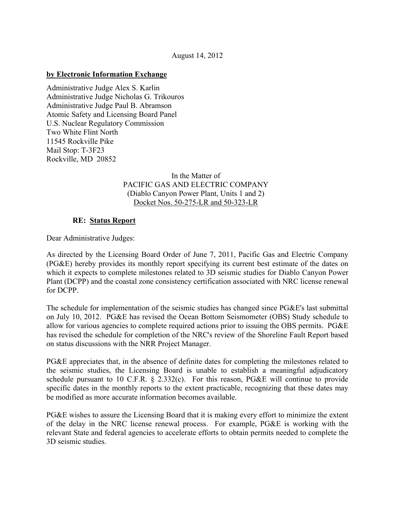## **by Electronic Information Exchange**

Administrative Judge Alex S. Karlin Administrative Judge Nicholas G. Trikouros Administrative Judge Paul B. Abramson Atomic Safety and Licensing Board Panel U.S. Nuclear Regulatory Commission Two White Flint North 11545 Rockville Pike Mail Stop: T-3F23 Rockville, MD 20852

## In the Matter of PACIFIC GAS AND ELECTRIC COMPANY (Diablo Canyon Power Plant, Units 1 and 2) Docket Nos. 50-275-LR and 50-323-LR

## **RE: Status Report**

Dear Administrative Judges:

As directed by the Licensing Board Order of June 7, 2011, Pacific Gas and Electric Company (PG&E) hereby provides its monthly report specifying its current best estimate of the dates on which it expects to complete milestones related to 3D seismic studies for Diablo Canyon Power Plant (DCPP) and the coastal zone consistency certification associated with NRC license renewal for DCPP.

The schedule for implementation of the seismic studies has changed since PG&E's last submittal on July 10, 2012. PG&E has revised the Ocean Bottom Seismometer (OBS) Study schedule to allow for various agencies to complete required actions prior to issuing the OBS permits. PG&E has revised the schedule for completion of the NRC's review of the Shoreline Fault Report based on status discussions with the NRR Project Manager.

PG&E appreciates that, in the absence of definite dates for completing the milestones related to the seismic studies, the Licensing Board is unable to establish a meaningful adjudicatory schedule pursuant to 10 C.F.R. § 2.332(c). For this reason, PG&E will continue to provide specific dates in the monthly reports to the extent practicable, recognizing that these dates may be modified as more accurate information becomes available.

PG&E wishes to assure the Licensing Board that it is making every effort to minimize the extent of the delay in the NRC license renewal process. For example, PG&E is working with the relevant State and federal agencies to accelerate efforts to obtain permits needed to complete the 3D seismic studies.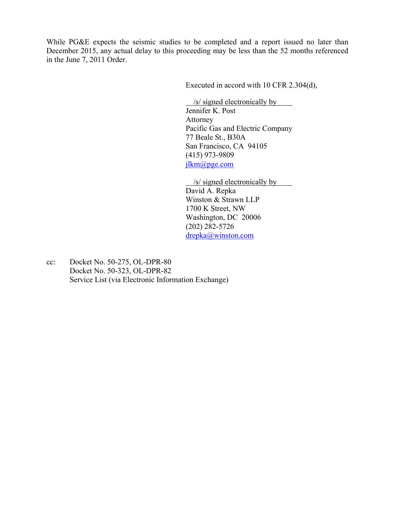While PG&E expects the seismic studies to be completed and a report issued no later than December 2015, any actual delay to this proceeding may be less than the 52 months referenced in the June 7, 2011 Order.

Executed in accord with 10 CFR 2.304(d),

 [jlkm@pge.com](mailto:jlkm@pge.com)  $\frac{1}{s}$  /s/ signed electronically by Jennifer K. Post Attorney Pacific Gas and Electric Company 77 Beale St., B30A San Francisco, CA 94105 (415) 973-9809

/s/ signed electronically by

 $d$ repka@winston.com David A. Repka Winston & Strawn LLP 1700 K Street, NW Washington, DC 20006 (202) 282-5726

cc: Docket No.  $50-275$ , OL-DPR-80 Docket No. 50-323, OL-DPR-82 Service List (via Electronic Information Exchange)